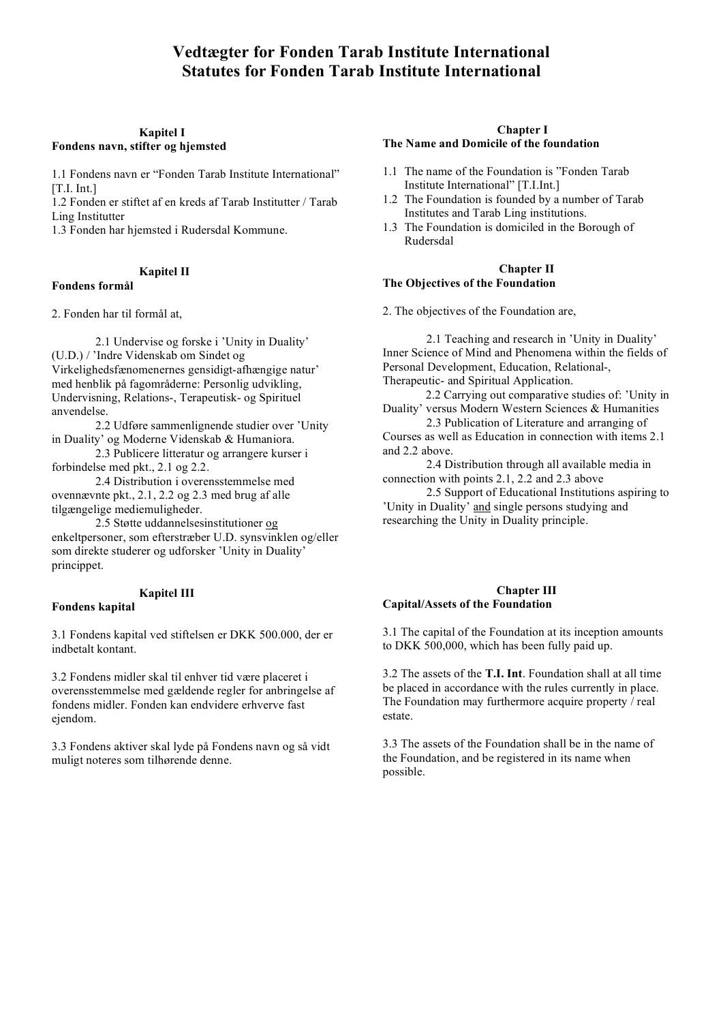#### **Kapitel I Fondens navn, stifter og hjemsted**

1.1 Fondens navn er "Fonden Tarab Institute International" [T.I. Int.]

1.2 Fonden er stiftet af en kreds af Tarab Institutter / Tarab Ling Institutter

1.3 Fonden har hjemsted i Rudersdal Kommune.

### **Kapitel II**

### **Fondens formål**

2. Fonden har til formål at,

2.1 Undervise og forske i 'Unity in Duality' (U.D.) / 'Indre Videnskab om Sindet og Virkelighedsfænomenernes gensidigt-afhængige natur' med henblik på fagområderne: Personlig udvikling, Undervisning, Relations-, Terapeutisk- og Spirituel anvendelse.

2.2 Udføre sammenlignende studier over 'Unity in Duality' og Moderne Videnskab & Humaniora.

2.3 Publicere litteratur og arrangere kurser i forbindelse med pkt., 2.1 og 2.2.

2.4 Distribution i overensstemmelse med ovennævnte pkt., 2.1, 2.2 og 2.3 med brug af alle tilgængelige mediemuligheder.

2.5 Støtte uddannelsesinstitutioner og enkeltpersoner, som efterstræber U.D. synsvinklen og/eller som direkte studerer og udforsker 'Unity in Duality' princippet.

#### **Kapitel III**

### **Fondens kapital**

3.1 Fondens kapital ved stiftelsen er DKK 500.000, der er indbetalt kontant.

3.2 Fondens midler skal til enhver tid være placeret i overensstemmelse med gældende regler for anbringelse af fondens midler. Fonden kan endvidere erhverve fast ejendom.

3.3 Fondens aktiver skal lyde på Fondens navn og så vidt muligt noteres som tilhørende denne.

#### **Chapter I The Name and Domicile of the foundation**

- 1.1 The name of the Foundation is "Fonden Tarab Institute International" [T.I.Int.]
- 1.2 The Foundation is founded by a number of Tarab Institutes and Tarab Ling institutions.
- 1.3 The Foundation is domiciled in the Borough of Rudersdal

#### **Chapter II The Objectives of the Foundation**

2. The objectives of the Foundation are,

2.1 Teaching and research in 'Unity in Duality' Inner Science of Mind and Phenomena within the fields of Personal Development, Education, Relational-, Therapeutic- and Spiritual Application.

2.2 Carrying out comparative studies of: 'Unity in

Duality' versus Modern Western Sciences & Humanities 2.3 Publication of Literature and arranging of

Courses as well as Education in connection with items 2.1 and 2.2 above.

2.4 Distribution through all available media in connection with points 2.1, 2.2 and 2.3 above

2.5 Support of Educational Institutions aspiring to 'Unity in Duality' and single persons studying and researching the Unity in Duality principle.

### **Chapter III Capital/Assets of the Foundation**

3.1 The capital of the Foundation at its inception amounts to DKK 500,000, which has been fully paid up.

3.2 The assets of the **T.I. Int**. Foundation shall at all time be placed in accordance with the rules currently in place. The Foundation may furthermore acquire property / real estate.

3.3 The assets of the Foundation shall be in the name of the Foundation, and be registered in its name when possible.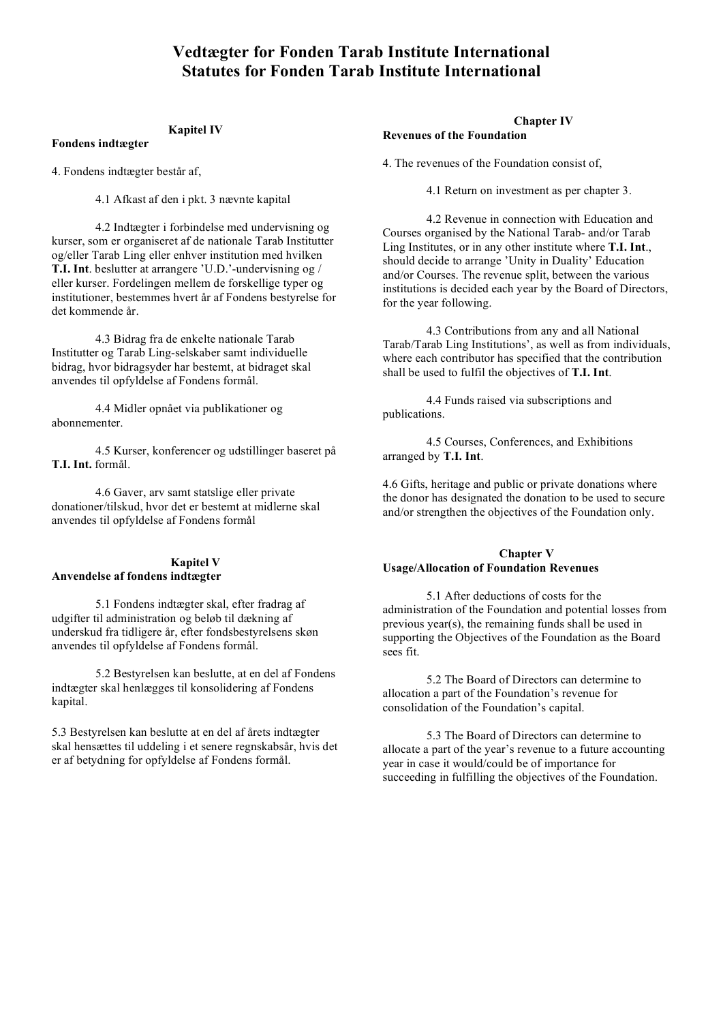#### **Kapitel IV**

**Fondens indtægter**

4. Fondens indtægter består af,

4.1 Afkast af den i pkt. 3 nævnte kapital

4.2 Indtægter i forbindelse med undervisning og kurser, som er organiseret af de nationale Tarab Institutter og/eller Tarab Ling eller enhver institution med hvilken **T.I. Int**. beslutter at arrangere 'U.D.'-undervisning og / eller kurser. Fordelingen mellem de forskellige typer og institutioner, bestemmes hvert år af Fondens bestyrelse for det kommende år.

4.3 Bidrag fra de enkelte nationale Tarab Institutter og Tarab Ling-selskaber samt individuelle bidrag, hvor bidragsyder har bestemt, at bidraget skal anvendes til opfyldelse af Fondens formål.

4.4 Midler opnået via publikationer og abonnementer.

4.5 Kurser, konferencer og udstillinger baseret på **T.I. Int.** formål.

4.6 Gaver, arv samt statslige eller private donationer/tilskud, hvor det er bestemt at midlerne skal anvendes til opfyldelse af Fondens formål

#### **Kapitel V Anvendelse af fondens indtægter**

5.1 Fondens indtægter skal, efter fradrag af udgifter til administration og beløb til dækning af underskud fra tidligere år, efter fondsbestyrelsens skøn anvendes til opfyldelse af Fondens formål.

5.2 Bestyrelsen kan beslutte, at en del af Fondens indtægter skal henlægges til konsolidering af Fondens kapital.

5.3 Bestyrelsen kan beslutte at en del af årets indtægter skal hensættes til uddeling i et senere regnskabsår, hvis det er af betydning for opfyldelse af Fondens formål.

#### **Chapter IV**

#### **Revenues of the Foundation**

4. The revenues of the Foundation consist of,

4.1 Return on investment as per chapter 3.

4.2 Revenue in connection with Education and Courses organised by the National Tarab- and/or Tarab Ling Institutes, or in any other institute where **T.I. Int**., should decide to arrange 'Unity in Duality' Education and/or Courses. The revenue split, between the various institutions is decided each year by the Board of Directors, for the year following.

4.3 Contributions from any and all National Tarab/Tarab Ling Institutions', as well as from individuals, where each contributor has specified that the contribution shall be used to fulfil the objectives of **T.I. Int**.

4.4 Funds raised via subscriptions and publications.

4.5 Courses, Conferences, and Exhibitions arranged by **T.I. Int**.

4.6 Gifts, heritage and public or private donations where the donor has designated the donation to be used to secure and/or strengthen the objectives of the Foundation only.

### **Chapter V Usage/Allocation of Foundation Revenues**

5.1 After deductions of costs for the administration of the Foundation and potential losses from previous year(s), the remaining funds shall be used in supporting the Objectives of the Foundation as the Board sees fit.

5.2 The Board of Directors can determine to allocation a part of the Foundation's revenue for consolidation of the Foundation's capital.

5.3 The Board of Directors can determine to allocate a part of the year's revenue to a future accounting year in case it would/could be of importance for succeeding in fulfilling the objectives of the Foundation.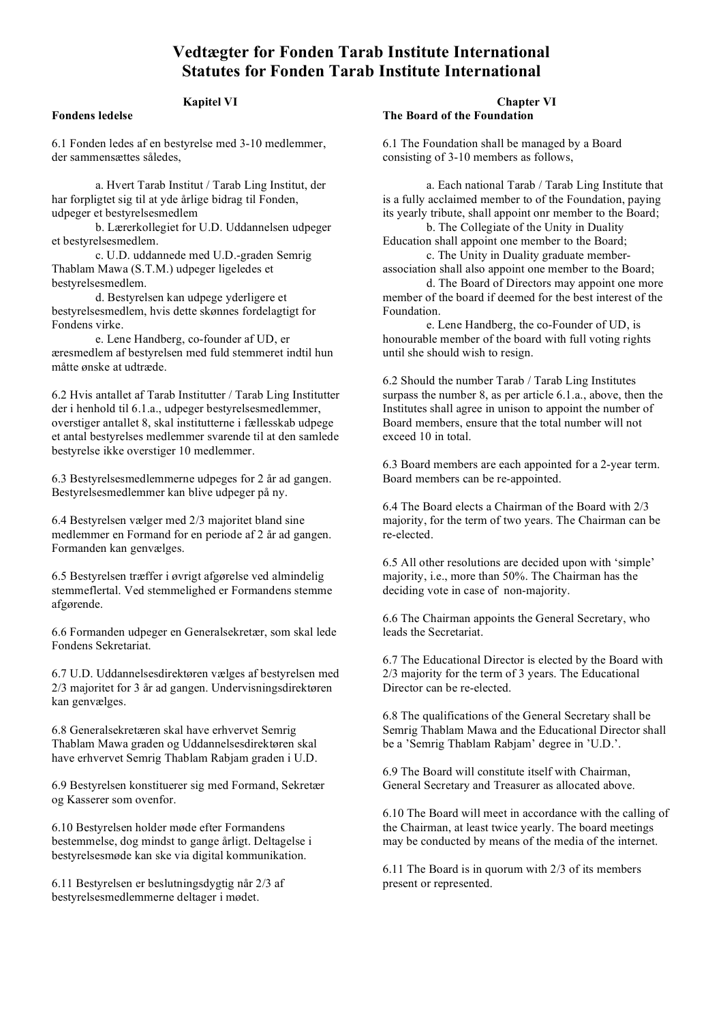#### **Kapitel VI**

### **Fondens ledelse**

6.1 Fonden ledes af en bestyrelse med 3-10 medlemmer, der sammensættes således,

a. Hvert Tarab Institut / Tarab Ling Institut, der har forpligtet sig til at yde årlige bidrag til Fonden, udpeger et bestyrelsesmedlem

b. Lærerkollegiet for U.D. Uddannelsen udpeger et bestyrelsesmedlem.

c. U.D. uddannede med U.D.-graden Semrig Thablam Mawa (S.T.M.) udpeger ligeledes et bestyrelsesmedlem.

d. Bestyrelsen kan udpege yderligere et bestyrelsesmedlem, hvis dette skønnes fordelagtigt for Fondens virke.

e. Lene Handberg, co-founder af UD, er æresmedlem af bestyrelsen med fuld stemmeret indtil hun måtte ønske at udtræde.

6.2 Hvis antallet af Tarab Institutter / Tarab Ling Institutter der i henhold til 6.1.a., udpeger bestyrelsesmedlemmer, overstiger antallet 8, skal institutterne i fællesskab udpege et antal bestyrelses medlemmer svarende til at den samlede bestyrelse ikke overstiger 10 medlemmer.

6.3 Bestyrelsesmedlemmerne udpeges for 2 år ad gangen. Bestyrelsesmedlemmer kan blive udpeger på ny.

6.4 Bestyrelsen vælger med 2/3 majoritet bland sine medlemmer en Formand for en periode af 2 år ad gangen. Formanden kan genvælges.

6.5 Bestyrelsen træffer i øvrigt afgørelse ved almindelig stemmeflertal. Ved stemmelighed er Formandens stemme afgørende.

6.6 Formanden udpeger en Generalsekretær, som skal lede Fondens Sekretariat.

6.7 U.D. Uddannelsesdirektøren vælges af bestyrelsen med 2/3 majoritet for 3 år ad gangen. Undervisningsdirektøren kan genvælges.

6.8 Generalsekretæren skal have erhvervet Semrig Thablam Mawa graden og Uddannelsesdirektøren skal have erhvervet Semrig Thablam Rabjam graden i U.D.

6.9 Bestyrelsen konstituerer sig med Formand, Sekretær og Kasserer som ovenfor.

6.10 Bestyrelsen holder møde efter Formandens bestemmelse, dog mindst to gange årligt. Deltagelse i bestyrelsesmøde kan ske via digital kommunikation.

6.11 Bestyrelsen er beslutningsdygtig når 2/3 af bestyrelsesmedlemmerne deltager i mødet.

#### **Chapter VI The Board of the Foundation**

6.1 The Foundation shall be managed by a Board consisting of 3-10 members as follows,

a. Each national Tarab / Tarab Ling Institute that is a fully acclaimed member to of the Foundation, paying its yearly tribute, shall appoint onr member to the Board;

b. The Collegiate of the Unity in Duality Education shall appoint one member to the Board; c. The Unity in Duality graduate member-

association shall also appoint one member to the Board;

d. The Board of Directors may appoint one more member of the board if deemed for the best interest of the Foundation.

e. Lene Handberg, the co-Founder of UD, is honourable member of the board with full voting rights until she should wish to resign.

6.2 Should the number Tarab / Tarab Ling Institutes surpass the number 8, as per article 6.1.a., above, then the Institutes shall agree in unison to appoint the number of Board members, ensure that the total number will not exceed 10 in total.

6.3 Board members are each appointed for a 2-year term. Board members can be re-appointed.

6.4 The Board elects a Chairman of the Board with 2/3 majority, for the term of two years. The Chairman can be re-elected.

6.5 All other resolutions are decided upon with 'simple' majority, i.e., more than 50%. The Chairman has the deciding vote in case of non-majority.

6.6 The Chairman appoints the General Secretary, who leads the Secretariat.

6.7 The Educational Director is elected by the Board with 2/3 majority for the term of 3 years. The Educational Director can be re-elected.

6.8 The qualifications of the General Secretary shall be Semrig Thablam Mawa and the Educational Director shall be a 'Semrig Thablam Rabjam' degree in 'U.D.'.

6.9 The Board will constitute itself with Chairman, General Secretary and Treasurer as allocated above.

6.10 The Board will meet in accordance with the calling of the Chairman, at least twice yearly. The board meetings may be conducted by means of the media of the internet.

6.11 The Board is in quorum with 2/3 of its members present or represented.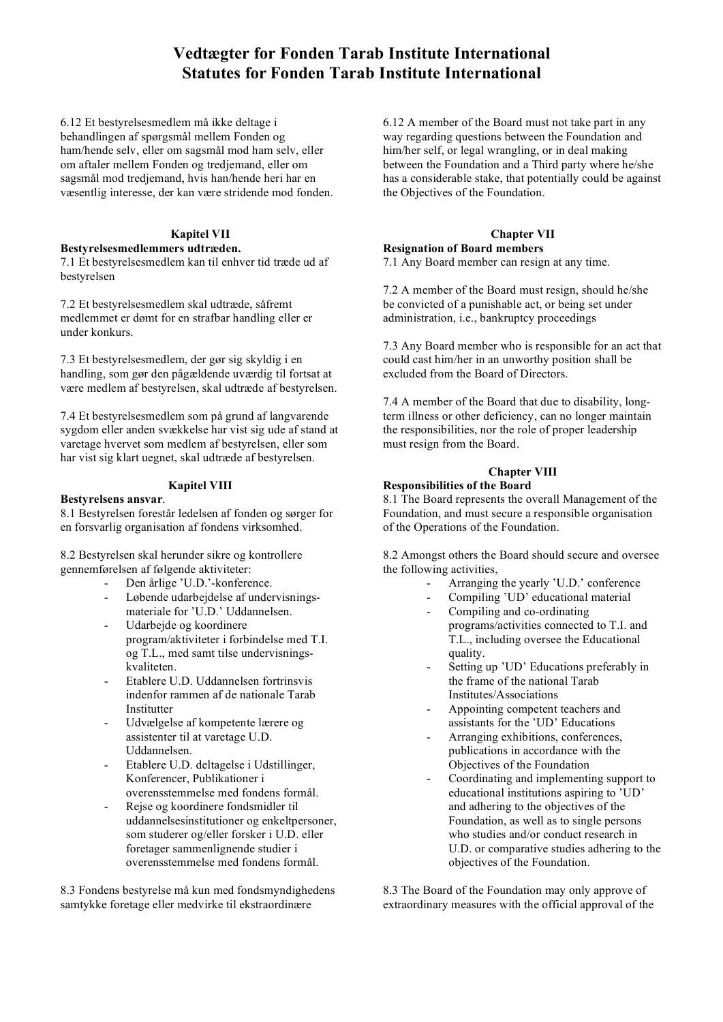6.12 Et bestyrelsesmedlem må ikke deltage i behandlingen af spørgsmål mellem Fonden og ham/hende selv, eller om sagsmål mod ham selv, eller om aftaler mellem Fonden og tredjemand, eller om sagsmål mod tredjemand, hvis han/hende heri har en væsentlig interesse, der kan være stridende mod fonden.

## **Kapitel VII**

#### **Bestyrelsesmedlemmers udtræden.**

7.1 Et bestyrelsesmedlem kan til enhver tid træde ud af bestyrelsen

7.2 Et bestyrelsesmedlem skal udtræde, såfremt medlemmet er dømt for en strafbar handling eller er under konkurs.

7.3 Et bestyrelsesmedlem, der gør sig skyldig i en handling, som gør den pågældende uværdig til fortsat at være medlem af bestyrelsen, skal udtræde af bestyrelsen.

7.4 Et bestyrelsesmedlem som på grund af langvarende sygdom eller anden svækkelse har vist sig ude af stand at varetage hvervet som medlem af bestyrelsen, eller som har vist sig klart uegnet, skal udtræde af bestyrelsen.

### **Kapitel VIII**

#### **Bestyrelsens ansvar**.

8.1 Bestyrelsen forestår ledelsen af fonden og sørger for en forsvarlig organisation af fondens virksomhed.

8.2 Bestyrelsen skal herunder sikre og kontrollere gennemførelsen af følgende aktiviteter:

- Den årlige 'U.D.'-konference.
- Løbende udarbejdelse af undervisningsmateriale for 'U.D.' Uddannelsen.
- Udarbejde og koordinere program/aktiviteter i forbindelse med T.I. og T.L., med samt tilse undervisningskvaliteten.
- Etablere U.D. Uddannelsen fortrinsvis indenfor rammen af de nationale Tarab Institutter
- Udvælgelse af kompetente lærere og assistenter til at varetage U.D. Uddannelsen.
- Etablere U.D. deltagelse i Udstillinger, Konferencer, Publikationer i overensstemmelse med fondens formål.
- Rejse og koordinere fondsmidler til uddannelsesinstitutioner og enkeltpersoner, som studerer og/eller forsker i U.D. eller foretager sammenlignende studier i overensstemmelse med fondens formål.

8.3 Fondens bestyrelse må kun med fondsmyndighedens samtykke foretage eller medvirke til ekstraordinære

6.12 A member of the Board must not take part in any way regarding questions between the Foundation and him/her self, or legal wrangling, or in deal making between the Foundation and a Third party where he/she has a considerable stake, that potentially could be against the Objectives of the Foundation.

### **Chapter VII**

# **Resignation of Board members**

7.1 Any Board member can resign at any time.

7.2 A member of the Board must resign, should he/she be convicted of a punishable act, or being set under administration, i.e., bankruptcy proceedings

7.3 Any Board member who is responsible for an act that could cast him/her in an unworthy position shall be excluded from the Board of Directors.

7.4 A member of the Board that due to disability, longterm illness or other deficiency, can no longer maintain the responsibilities, nor the role of proper leadership must resign from the Board.

#### **Chapter VIII Responsibilities of the Board**

8.1 The Board represents the overall Management of the Foundation, and must secure a responsible organisation of the Operations of the Foundation.

8.2 Amongst others the Board should secure and oversee the following activities,

- Arranging the yearly 'U.D.' conference
- Compiling 'UD' educational material
- Compiling and co-ordinating programs/activities connected to T.I. and T.L., including oversee the Educational quality.
- Setting up 'UD' Educations preferably in the frame of the national Tarab Institutes/Associations
- Appointing competent teachers and assistants for the 'UD' Educations
- Arranging exhibitions, conferences, publications in accordance with the Objectives of the Foundation
- Coordinating and implementing support to educational institutions aspiring to 'UD' and adhering to the objectives of the Foundation, as well as to single persons who studies and/or conduct research in U.D. or comparative studies adhering to the objectives of the Foundation.

8.3 The Board of the Foundation may only approve of extraordinary measures with the official approval of the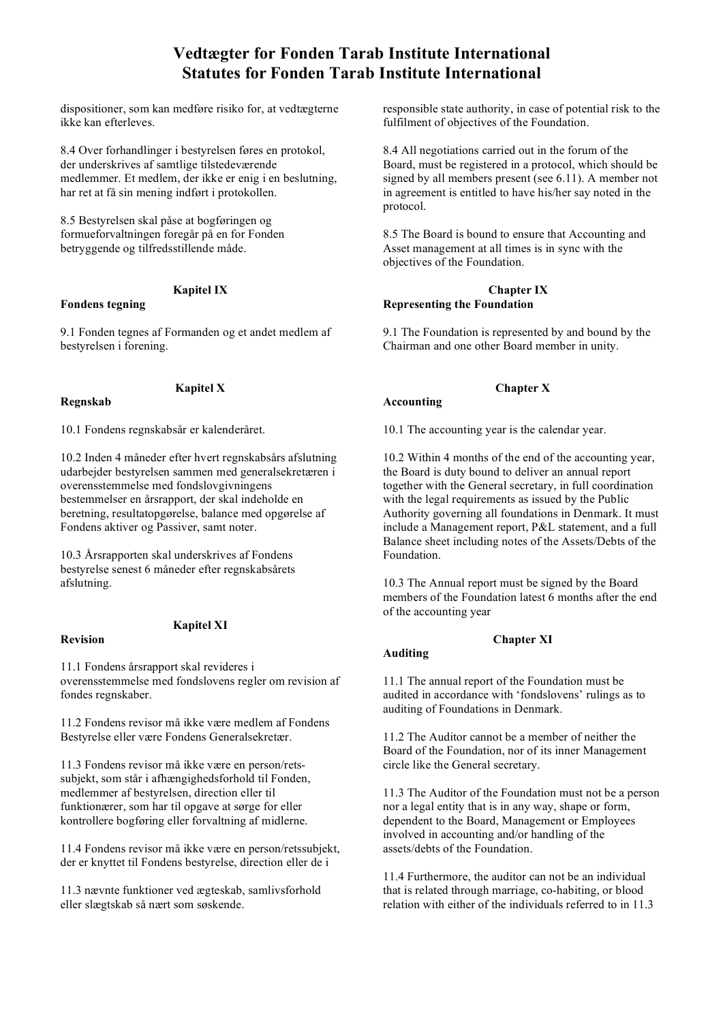dispositioner, som kan medføre risiko for, at vedtægterne ikke kan efterleves.

8.4 Over forhandlinger i bestyrelsen føres en protokol, der underskrives af samtlige tilstedeværende medlemmer. Et medlem, der ikke er enig i en beslutning, har ret at få sin mening indført i protokollen.

8.5 Bestyrelsen skal påse at bogføringen og formueforvaltningen foregår på en for Fonden betryggende og tilfredsstillende måde.

### **Kapitel IX**

## **Fondens tegning**

9.1 Fonden tegnes af Formanden og et andet medlem af bestyrelsen i forening.

**Kapitel X**

### **Regnskab**

10.1 Fondens regnskabsår er kalenderåret.

10.2 Inden 4 måneder efter hvert regnskabsårs afslutning udarbejder bestyrelsen sammen med generalsekretæren i overensstemmelse med fondslovgivningens bestemmelser en årsrapport, der skal indeholde en beretning, resultatopgørelse, balance med opgørelse af Fondens aktiver og Passiver, samt noter.

10.3 Årsrapporten skal underskrives af Fondens bestyrelse senest 6 måneder efter regnskabsårets afslutning.

## **Revision**

## **Kapitel XI**

11.1 Fondens årsrapport skal revideres i overensstemmelse med fondslovens regler om revision af fondes regnskaber.

11.2 Fondens revisor må ikke være medlem af Fondens Bestyrelse eller være Fondens Generalsekretær.

11.3 Fondens revisor må ikke være en person/retssubjekt, som står i afhængighedsforhold til Fonden, medlemmer af bestyrelsen, direction eller til funktionærer, som har til opgave at sørge for eller kontrollere bogføring eller forvaltning af midlerne.

11.4 Fondens revisor må ikke være en person/retssubjekt, der er knyttet til Fondens bestyrelse, direction eller de i

11.3 nævnte funktioner ved ægteskab, samlivsforhold eller slægtskab så nært som søskende.

responsible state authority, in case of potential risk to the fulfilment of objectives of the Foundation.

8.4 All negotiations carried out in the forum of the Board, must be registered in a protocol, which should be signed by all members present (see 6.11). A member not in agreement is entitled to have his/her say noted in the protocol.

8.5 The Board is bound to ensure that Accounting and Asset management at all times is in sync with the objectives of the Foundation.

#### **Chapter IX Representing the Foundation**

9.1 The Foundation is represented by and bound by the Chairman and one other Board member in unity.

# **Accounting**

**Chapter X**

10.1 The accounting year is the calendar year.

10.2 Within 4 months of the end of the accounting year, the Board is duty bound to deliver an annual report together with the General secretary, in full coordination with the legal requirements as issued by the Public Authority governing all foundations in Denmark. It must include a Management report, P&L statement, and a full Balance sheet including notes of the Assets/Debts of the Foundation.

10.3 The Annual report must be signed by the Board members of the Foundation latest 6 months after the end of the accounting year

# **Auditing**

## **Chapter XI**

11.1 The annual report of the Foundation must be audited in accordance with 'fondslovens' rulings as to auditing of Foundations in Denmark.

11.2 The Auditor cannot be a member of neither the Board of the Foundation, nor of its inner Management circle like the General secretary.

11.3 The Auditor of the Foundation must not be a person nor a legal entity that is in any way, shape or form, dependent to the Board, Management or Employees involved in accounting and/or handling of the assets/debts of the Foundation.

11.4 Furthermore, the auditor can not be an individual that is related through marriage, co-habiting, or blood relation with either of the individuals referred to in 11.3